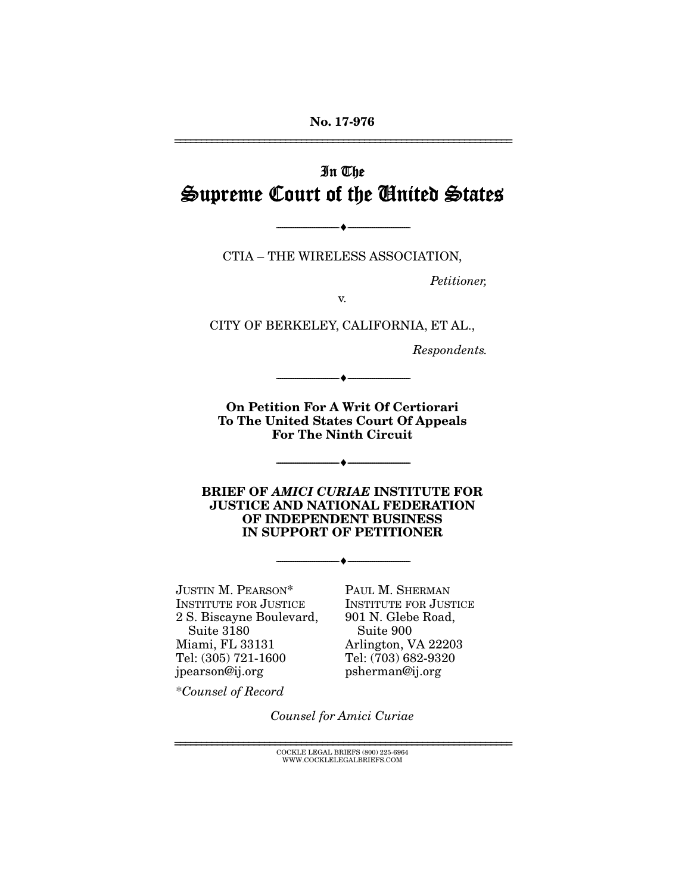# In The Supreme Court of the United States

CTIA – THE WIRELESS ASSOCIATION,

--------------------------------- ---------------------------------

*Petitioner,* 

v.

CITY OF BERKELEY, CALIFORNIA, ET AL.,

*Respondents.* 

On Petition For A Writ Of Certiorari To The United States Court Of Appeals For The Ninth Circuit

--------------------------------- ---------------------------------

--------------------------------- ---------------------------------

BRIEF OF *AMICI CURIAE* INSTITUTE FOR JUSTICE AND NATIONAL FEDERATION OF INDEPENDENT BUSINESS IN SUPPORT OF PETITIONER

--------------------------------- ---------------------------------

JUSTIN M. PEARSON\* INSTITUTE FOR JUSTICE 2 S. Biscayne Boulevard, Suite 3180 Miami, FL 33131 Tel: (305) 721-1600 jpearson@ij.org

PAUL M. SHERMAN INSTITUTE FOR JUSTICE 901 N. Glebe Road, Suite 900 Arlington, VA 22203 Tel: (703) 682-9320 psherman@ij.org

\**Counsel of Record*

*Counsel for Amici Curiae*

================================================================ COCKLE LEGAL BRIEFS (800) 225-6964 WWW.COCKLELEGALBRIEFS.COM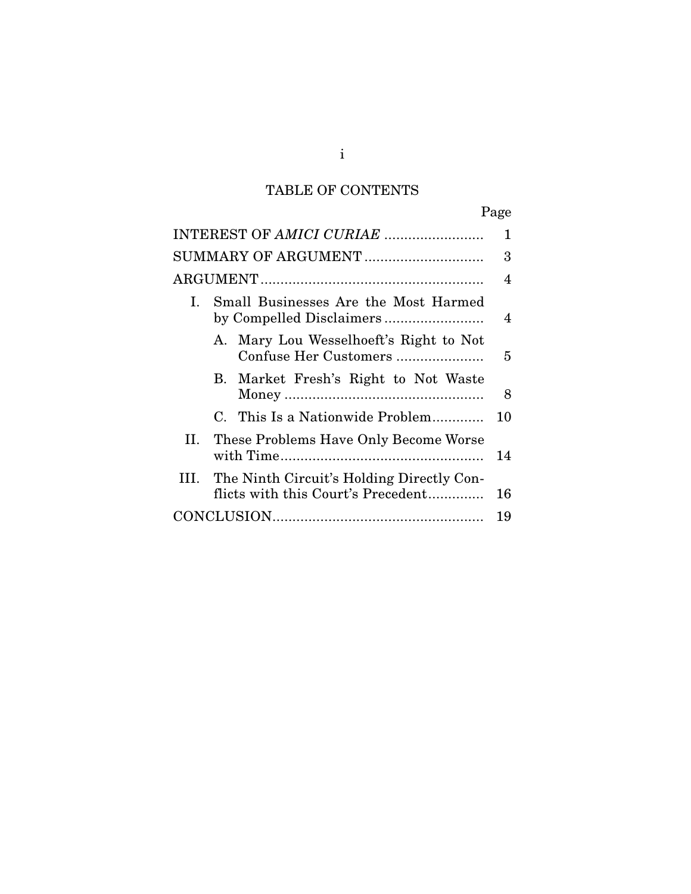## TABLE OF CONTENTS

|                                                                                         | Page |
|-----------------------------------------------------------------------------------------|------|
| INTEREST OF AMICI CURIAE                                                                | 1    |
| SUMMARY OF ARGUMENT                                                                     | 3    |
|                                                                                         | 4    |
| Small Businesses Are the Most Harmed<br>Ι.<br>by Compelled Disclaimers                  | 4    |
| A. Mary Lou Wesselhoeft's Right to Not<br>Confuse Her Customers                         | 5    |
| Market Fresh's Right to Not Waste<br>В.                                                 | 8    |
| C. This Is a Nationwide Problem                                                         | 10   |
| These Problems Have Only Become Worse<br>П.                                             | 14   |
| The Ninth Circuit's Holding Directly Con-<br>III.<br>flicts with this Court's Precedent | 16   |
|                                                                                         | 19   |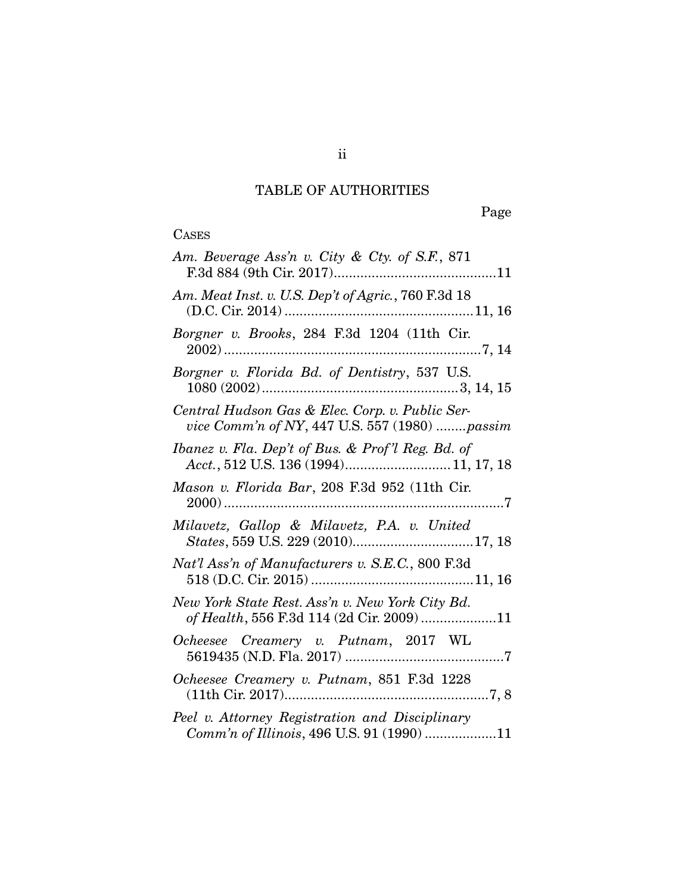## TABLE OF AUTHORITIES

Page

## **CASES**

| Am. Beverage Ass'n v. City & Cty. of S.F., 871                                                   |
|--------------------------------------------------------------------------------------------------|
| Am. Meat Inst. v. U.S. Dep't of Agric., 760 F.3d 18                                              |
| Borgner v. Brooks, 284 F.3d 1204 (11th Cir.                                                      |
| Borgner v. Florida Bd. of Dentistry, 537 U.S.                                                    |
| Central Hudson Gas & Elec. Corp. v. Public Ser-<br>vice Comm'n of NY, 447 U.S. 557 (1980) passim |
| Ibanez v. Fla. Dep't of Bus. & Prof'l Reg. Bd. of<br>Acct., 512 U.S. 136 (1994) 11, 17, 18       |
| Mason v. Florida Bar, 208 F.3d 952 (11th Cir.                                                    |
| Milavetz, Gallop & Milavetz, P.A. v. United                                                      |
| Nat'l Ass'n of Manufacturers v. S.E.C., 800 F.3d                                                 |
| New York State Rest. Ass'n v. New York City Bd.<br>of Health, 556 F.3d 114 (2d Cir. 2009) 11     |
| Ocheesee Creamery v. Putnam, 2017 WL                                                             |
| Ocheesee Creamery v. Putnam, 851 F.3d 1228                                                       |
| Peel v. Attorney Registration and Disciplinary<br>Comm'n of Illinois, 496 U.S. 91 (1990) 11      |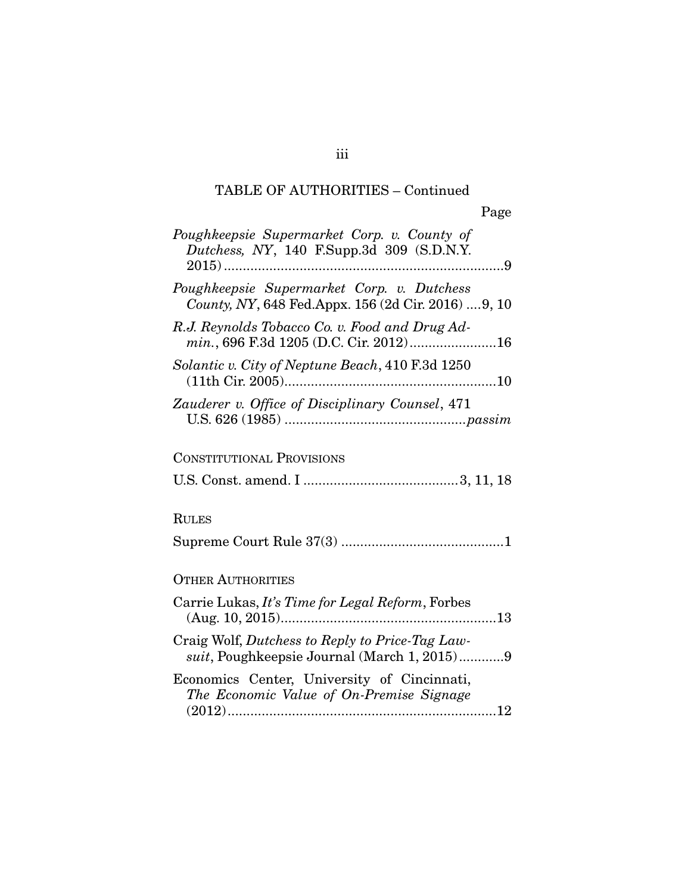## TABLE OF AUTHORITIES – Continued

| Poughkeepsie Supermarket Corp. v. County of<br>Dutchess, NY, 140 F.Supp.3d 309 (S.D.N.Y.          |
|---------------------------------------------------------------------------------------------------|
| Poughkeepsie Supermarket Corp. v. Dutchess<br>County, NY, 648 Fed.Appx. 156 (2d Cir. 2016)  9, 10 |
| R.J. Reynolds Tobacco Co. v. Food and Drug Ad-<br>min., 696 F.3d 1205 (D.C. Cir. 2012)16          |
| Solantic v. City of Neptune Beach, 410 F.3d 1250                                                  |
| Zauderer v. Office of Disciplinary Counsel, 471                                                   |
| <b>CONSTITUTIONAL PROVISIONS</b>                                                                  |
|                                                                                                   |
| <b>RULES</b>                                                                                      |
|                                                                                                   |
| <b>OTHER AUTHORITIES</b>                                                                          |
| Carrie Lukas, It's Time for Legal Reform, Forbes                                                  |
| Craig Wolf, Dutchess to Reply to Price-Tag Law-<br>suit, Poughkeepsie Journal (March 1, 2015)9    |
| Economics Center, University of Cincinnati,<br>The Economic Value of On-Premise Signage           |
|                                                                                                   |

iii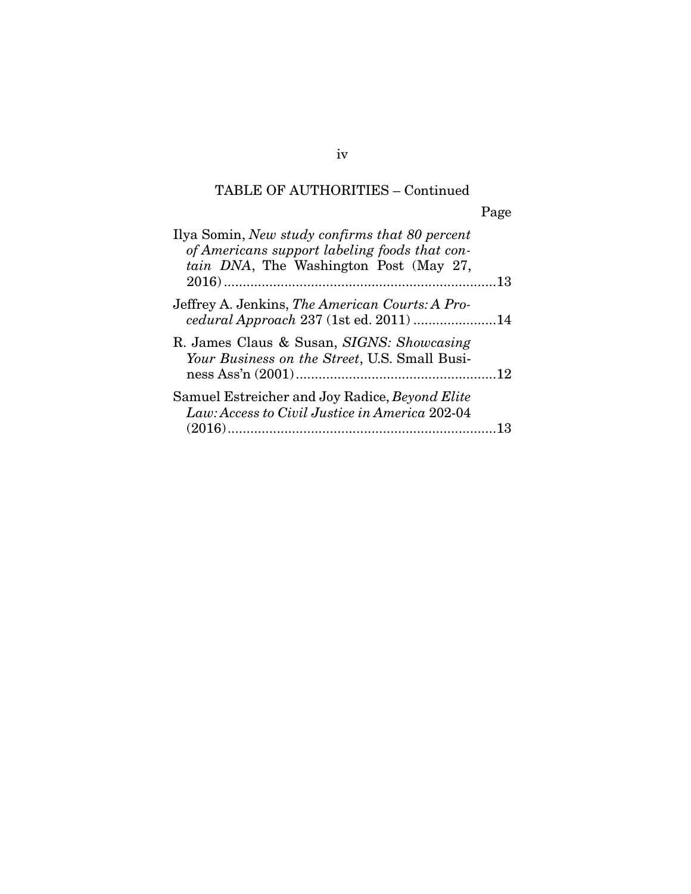## TABLE OF AUTHORITIES – Continued

Page

| Ilya Somin, New study confirms that 80 percent<br>of Americans support labeling foods that con-<br>tain DNA, The Washington Post (May 27, |  |
|-------------------------------------------------------------------------------------------------------------------------------------------|--|
| Jeffrey A. Jenkins, The American Courts: A Pro-<br>cedural Approach 237 (1st ed. 2011) 14                                                 |  |
| R. James Claus & Susan, SIGNS: Showcasing<br>Your Business on the Street, U.S. Small Busi-                                                |  |
| Samuel Estreicher and Joy Radice, Beyond Elite<br>Law: Access to Civil Justice in America 202-04                                          |  |

iv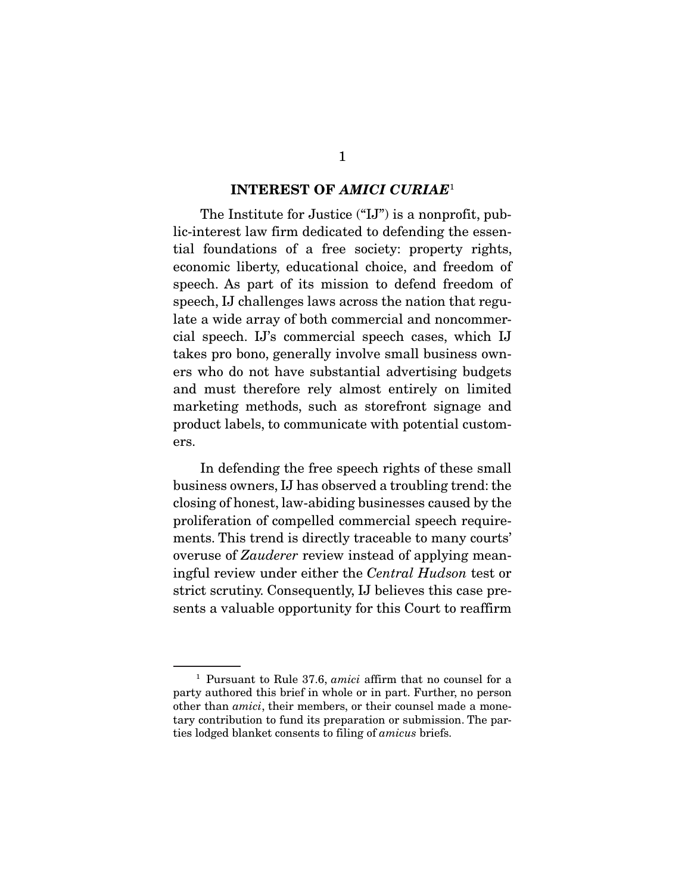#### INTEREST OF *AMICI CURIAE*<sup>1</sup>

 The Institute for Justice ("IJ") is a nonprofit, public-interest law firm dedicated to defending the essential foundations of a free society: property rights, economic liberty, educational choice, and freedom of speech. As part of its mission to defend freedom of speech, IJ challenges laws across the nation that regulate a wide array of both commercial and noncommercial speech. IJ's commercial speech cases, which IJ takes pro bono, generally involve small business owners who do not have substantial advertising budgets and must therefore rely almost entirely on limited marketing methods, such as storefront signage and product labels, to communicate with potential customers.

 In defending the free speech rights of these small business owners, IJ has observed a troubling trend: the closing of honest, law-abiding businesses caused by the proliferation of compelled commercial speech requirements. This trend is directly traceable to many courts' overuse of *Zauderer* review instead of applying meaningful review under either the *Central Hudson* test or strict scrutiny. Consequently, IJ believes this case presents a valuable opportunity for this Court to reaffirm

<sup>&</sup>lt;sup>1</sup> Pursuant to Rule 37.6, *amici* affirm that no counsel for a party authored this brief in whole or in part. Further, no person other than *amici*, their members, or their counsel made a monetary contribution to fund its preparation or submission. The parties lodged blanket consents to filing of *amicus* briefs.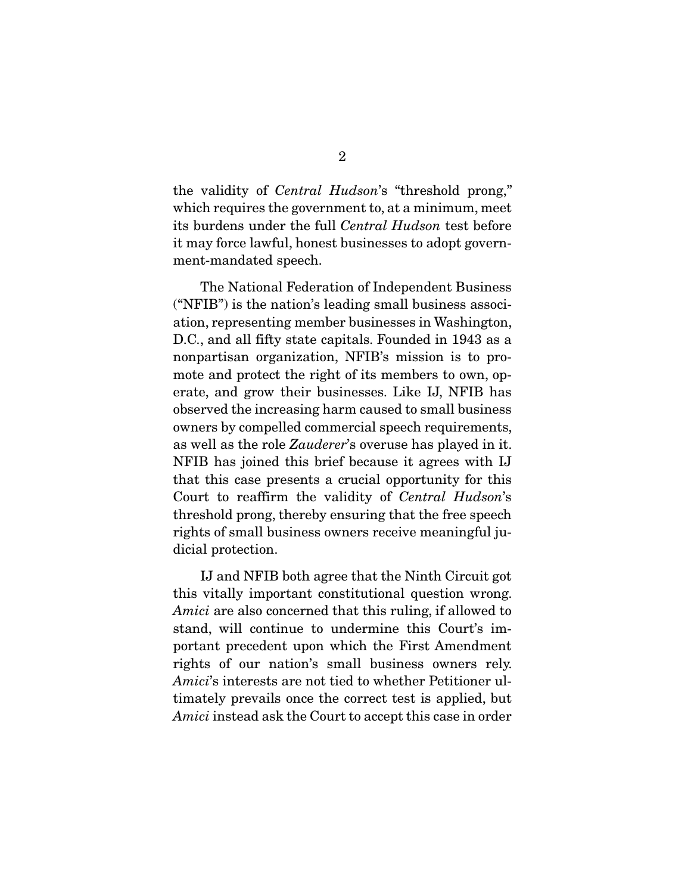the validity of *Central Hudson*'s "threshold prong," which requires the government to, at a minimum, meet its burdens under the full *Central Hudson* test before it may force lawful, honest businesses to adopt government-mandated speech.

 The National Federation of Independent Business ("NFIB") is the nation's leading small business association, representing member businesses in Washington, D.C., and all fifty state capitals. Founded in 1943 as a nonpartisan organization, NFIB's mission is to promote and protect the right of its members to own, operate, and grow their businesses. Like IJ, NFIB has observed the increasing harm caused to small business owners by compelled commercial speech requirements, as well as the role *Zauderer*'s overuse has played in it. NFIB has joined this brief because it agrees with IJ that this case presents a crucial opportunity for this Court to reaffirm the validity of *Central Hudson*'s threshold prong, thereby ensuring that the free speech rights of small business owners receive meaningful judicial protection.

 IJ and NFIB both agree that the Ninth Circuit got this vitally important constitutional question wrong. *Amici* are also concerned that this ruling, if allowed to stand, will continue to undermine this Court's important precedent upon which the First Amendment rights of our nation's small business owners rely. *Amici*'s interests are not tied to whether Petitioner ultimately prevails once the correct test is applied, but *Amici* instead ask the Court to accept this case in order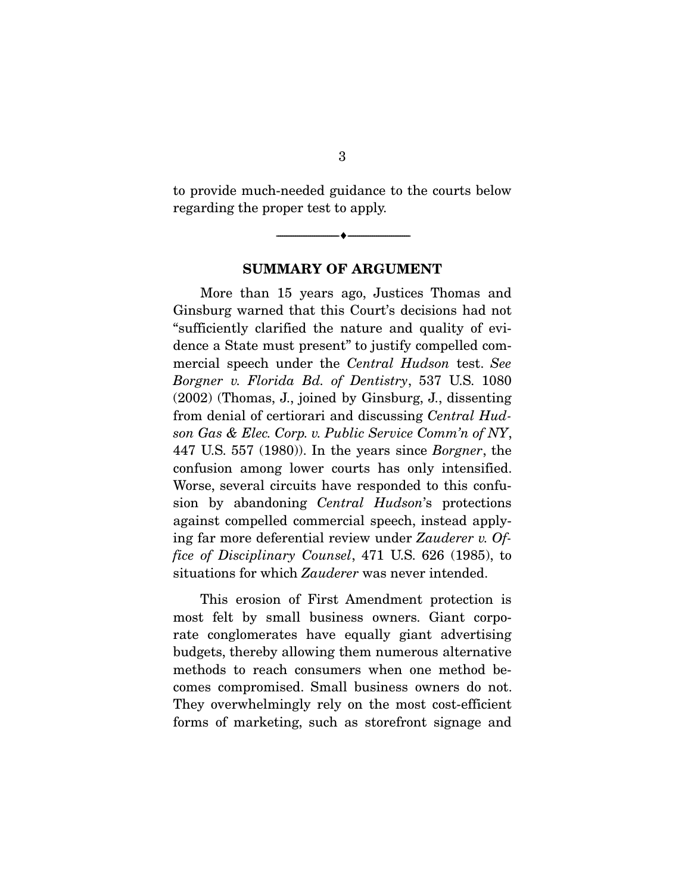to provide much-needed guidance to the courts below regarding the proper test to apply.

--------------------------------- ---------------------------------

#### SUMMARY OF ARGUMENT

 More than 15 years ago, Justices Thomas and Ginsburg warned that this Court's decisions had not "sufficiently clarified the nature and quality of evidence a State must present" to justify compelled commercial speech under the *Central Hudson* test. *See Borgner v. Florida Bd. of Dentistry*, 537 U.S. 1080 (2002) (Thomas, J., joined by Ginsburg, J., dissenting from denial of certiorari and discussing *Central Hudson Gas & Elec. Corp. v. Public Service Comm'n of NY*, 447 U.S. 557 (1980)). In the years since *Borgner*, the confusion among lower courts has only intensified. Worse, several circuits have responded to this confusion by abandoning *Central Hudson*'s protections against compelled commercial speech, instead applying far more deferential review under *Zauderer v. Office of Disciplinary Counsel*, 471 U.S. 626 (1985), to situations for which *Zauderer* was never intended.

 This erosion of First Amendment protection is most felt by small business owners. Giant corporate conglomerates have equally giant advertising budgets, thereby allowing them numerous alternative methods to reach consumers when one method becomes compromised. Small business owners do not. They overwhelmingly rely on the most cost-efficient forms of marketing, such as storefront signage and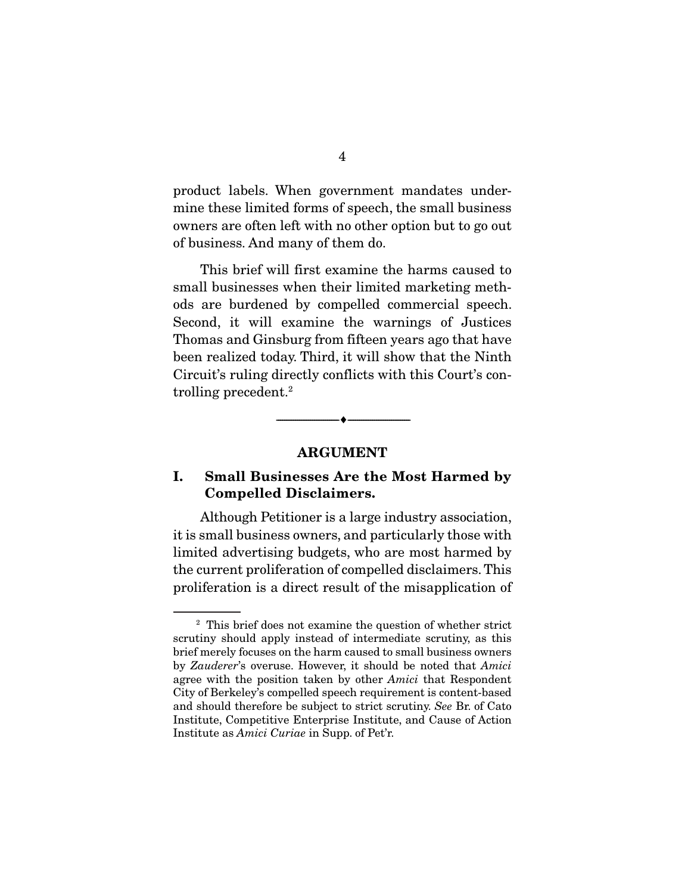product labels. When government mandates undermine these limited forms of speech, the small business owners are often left with no other option but to go out of business. And many of them do.

 This brief will first examine the harms caused to small businesses when their limited marketing methods are burdened by compelled commercial speech. Second, it will examine the warnings of Justices Thomas and Ginsburg from fifteen years ago that have been realized today. Third, it will show that the Ninth Circuit's ruling directly conflicts with this Court's controlling precedent.2

#### ARGUMENT

--------------------------------- ---------------------------------

### I. Small Businesses Are the Most Harmed by Compelled Disclaimers.

 Although Petitioner is a large industry association, it is small business owners, and particularly those with limited advertising budgets, who are most harmed by the current proliferation of compelled disclaimers. This proliferation is a direct result of the misapplication of

<sup>&</sup>lt;sup>2</sup> This brief does not examine the question of whether strict scrutiny should apply instead of intermediate scrutiny, as this brief merely focuses on the harm caused to small business owners by *Zauderer*'s overuse. However, it should be noted that *Amici* agree with the position taken by other *Amici* that Respondent City of Berkeley's compelled speech requirement is content-based and should therefore be subject to strict scrutiny. *See* Br. of Cato Institute, Competitive Enterprise Institute, and Cause of Action Institute as *Amici Curiae* in Supp. of Pet'r.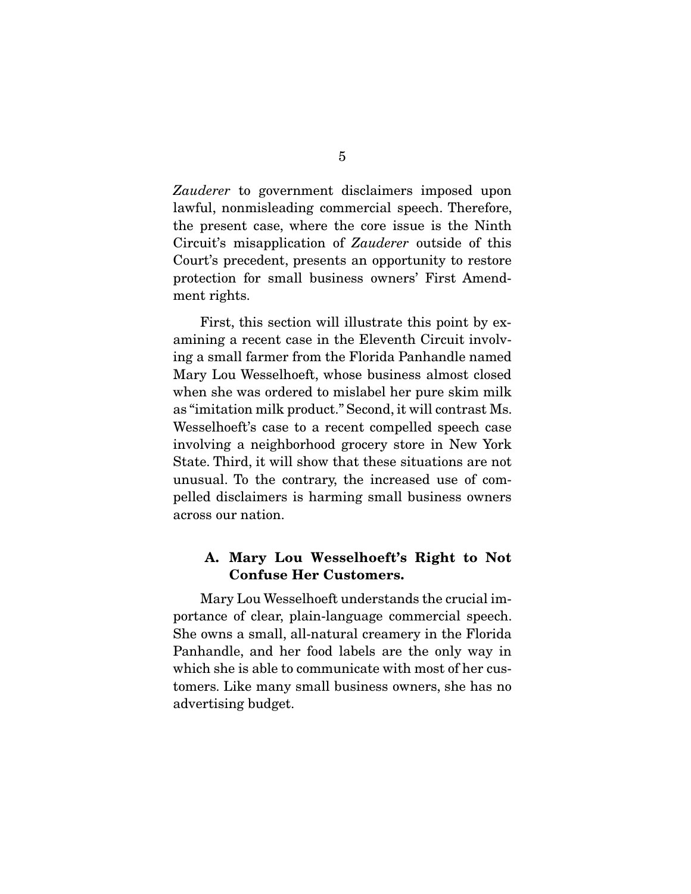*Zauderer* to government disclaimers imposed upon lawful, nonmisleading commercial speech. Therefore, the present case, where the core issue is the Ninth Circuit's misapplication of *Zauderer* outside of this Court's precedent, presents an opportunity to restore protection for small business owners' First Amendment rights.

 First, this section will illustrate this point by examining a recent case in the Eleventh Circuit involving a small farmer from the Florida Panhandle named Mary Lou Wesselhoeft, whose business almost closed when she was ordered to mislabel her pure skim milk as "imitation milk product." Second, it will contrast Ms. Wesselhoeft's case to a recent compelled speech case involving a neighborhood grocery store in New York State. Third, it will show that these situations are not unusual. To the contrary, the increased use of compelled disclaimers is harming small business owners across our nation.

### A. Mary Lou Wesselhoeft's Right to Not Confuse Her Customers.

 Mary Lou Wesselhoeft understands the crucial importance of clear, plain-language commercial speech. She owns a small, all-natural creamery in the Florida Panhandle, and her food labels are the only way in which she is able to communicate with most of her customers. Like many small business owners, she has no advertising budget.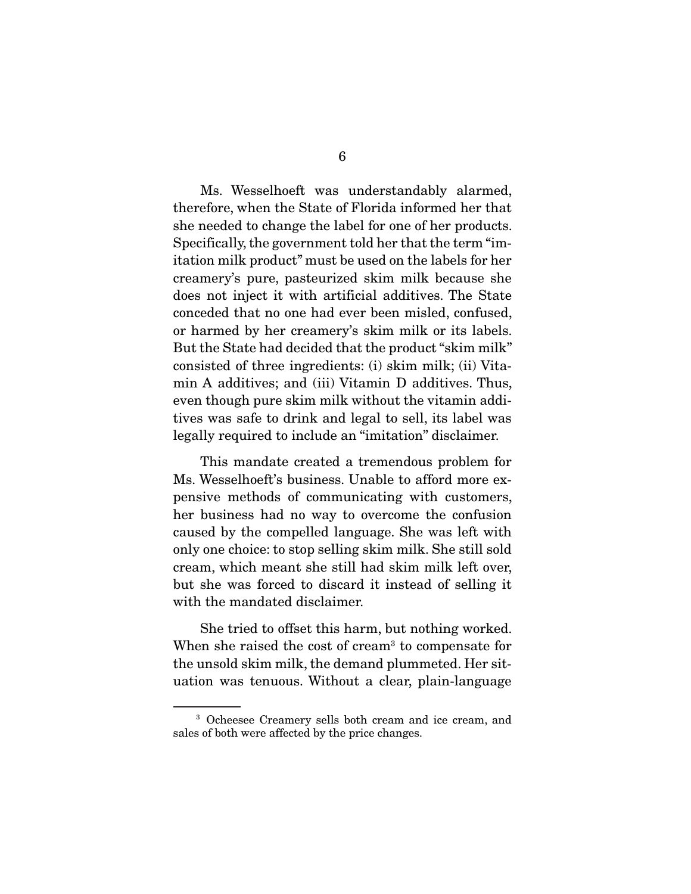Ms. Wesselhoeft was understandably alarmed, therefore, when the State of Florida informed her that she needed to change the label for one of her products. Specifically, the government told her that the term "imitation milk product" must be used on the labels for her creamery's pure, pasteurized skim milk because she does not inject it with artificial additives. The State conceded that no one had ever been misled, confused, or harmed by her creamery's skim milk or its labels. But the State had decided that the product "skim milk" consisted of three ingredients: (i) skim milk; (ii) Vitamin A additives; and (iii) Vitamin D additives. Thus, even though pure skim milk without the vitamin additives was safe to drink and legal to sell, its label was legally required to include an "imitation" disclaimer.

 This mandate created a tremendous problem for Ms. Wesselhoeft's business. Unable to afford more expensive methods of communicating with customers, her business had no way to overcome the confusion caused by the compelled language. She was left with only one choice: to stop selling skim milk. She still sold cream, which meant she still had skim milk left over, but she was forced to discard it instead of selling it with the mandated disclaimer.

 She tried to offset this harm, but nothing worked. When she raised the cost of cream<sup>3</sup> to compensate for the unsold skim milk, the demand plummeted. Her situation was tenuous. Without a clear, plain-language

<sup>3</sup> Ocheesee Creamery sells both cream and ice cream, and sales of both were affected by the price changes.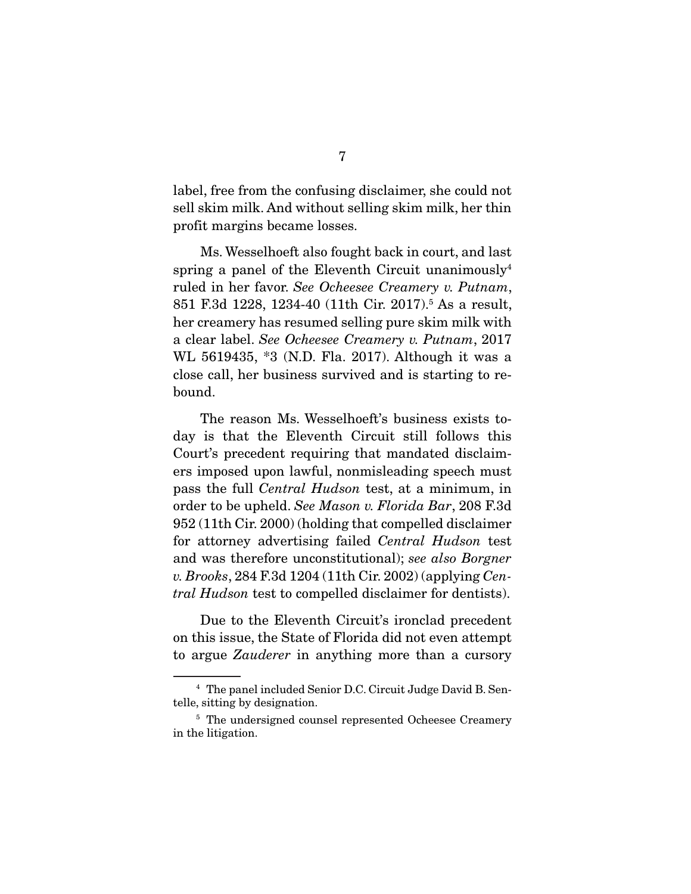label, free from the confusing disclaimer, she could not sell skim milk. And without selling skim milk, her thin profit margins became losses.

 Ms. Wesselhoeft also fought back in court, and last spring a panel of the Eleventh Circuit unanimously<sup>4</sup> ruled in her favor. *See Ocheesee Creamery v. Putnam*, 851 F.3d 1228, 1234-40 (11th Cir. 2017).5 As a result, her creamery has resumed selling pure skim milk with a clear label. *See Ocheesee Creamery v. Putnam*, 2017 WL 5619435, \*3 (N.D. Fla. 2017). Although it was a close call, her business survived and is starting to rebound.

 The reason Ms. Wesselhoeft's business exists today is that the Eleventh Circuit still follows this Court's precedent requiring that mandated disclaimers imposed upon lawful, nonmisleading speech must pass the full *Central Hudson* test, at a minimum, in order to be upheld. *See Mason v. Florida Bar*, 208 F.3d 952 (11th Cir. 2000) (holding that compelled disclaimer for attorney advertising failed *Central Hudson* test and was therefore unconstitutional); *see also Borgner v. Brooks*, 284 F.3d 1204 (11th Cir. 2002) (applying *Central Hudson* test to compelled disclaimer for dentists).

 Due to the Eleventh Circuit's ironclad precedent on this issue, the State of Florida did not even attempt to argue *Zauderer* in anything more than a cursory

<sup>4</sup> The panel included Senior D.C. Circuit Judge David B. Sentelle, sitting by designation.

<sup>&</sup>lt;sup>5</sup> The undersigned counsel represented Ocheesee Creamery in the litigation.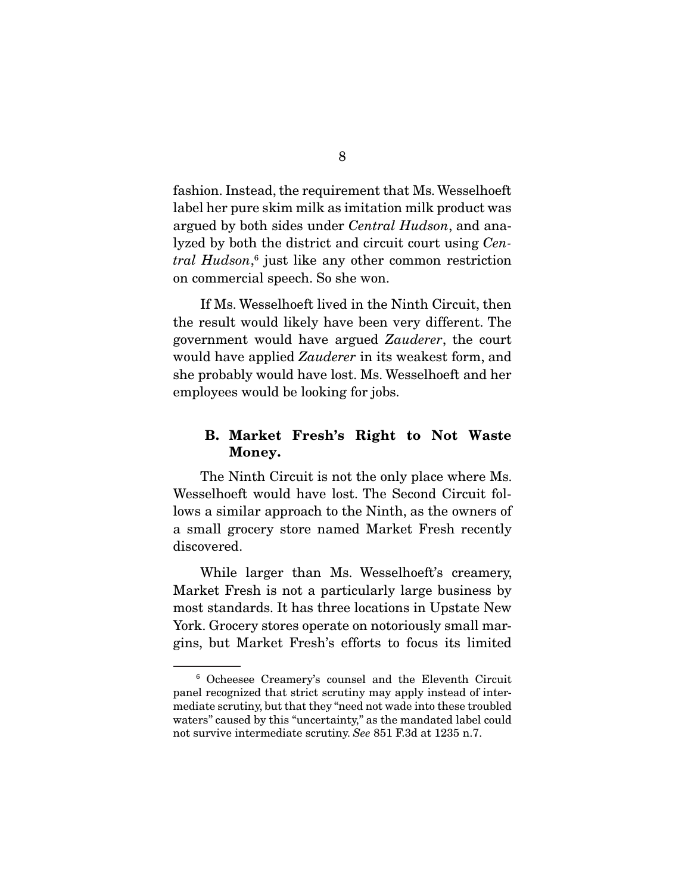fashion. Instead, the requirement that Ms. Wesselhoeft label her pure skim milk as imitation milk product was argued by both sides under *Central Hudson*, and analyzed by both the district and circuit court using *Central Hudson*, 6 just like any other common restriction on commercial speech. So she won.

 If Ms. Wesselhoeft lived in the Ninth Circuit, then the result would likely have been very different. The government would have argued *Zauderer*, the court would have applied *Zauderer* in its weakest form, and she probably would have lost. Ms. Wesselhoeft and her employees would be looking for jobs.

### B. Market Fresh's Right to Not Waste Money.

 The Ninth Circuit is not the only place where Ms. Wesselhoeft would have lost. The Second Circuit follows a similar approach to the Ninth, as the owners of a small grocery store named Market Fresh recently discovered.

 While larger than Ms. Wesselhoeft's creamery, Market Fresh is not a particularly large business by most standards. It has three locations in Upstate New York. Grocery stores operate on notoriously small margins, but Market Fresh's efforts to focus its limited

<sup>6</sup> Ocheesee Creamery's counsel and the Eleventh Circuit panel recognized that strict scrutiny may apply instead of intermediate scrutiny, but that they "need not wade into these troubled waters" caused by this "uncertainty," as the mandated label could not survive intermediate scrutiny. *See* 851 F.3d at 1235 n.7.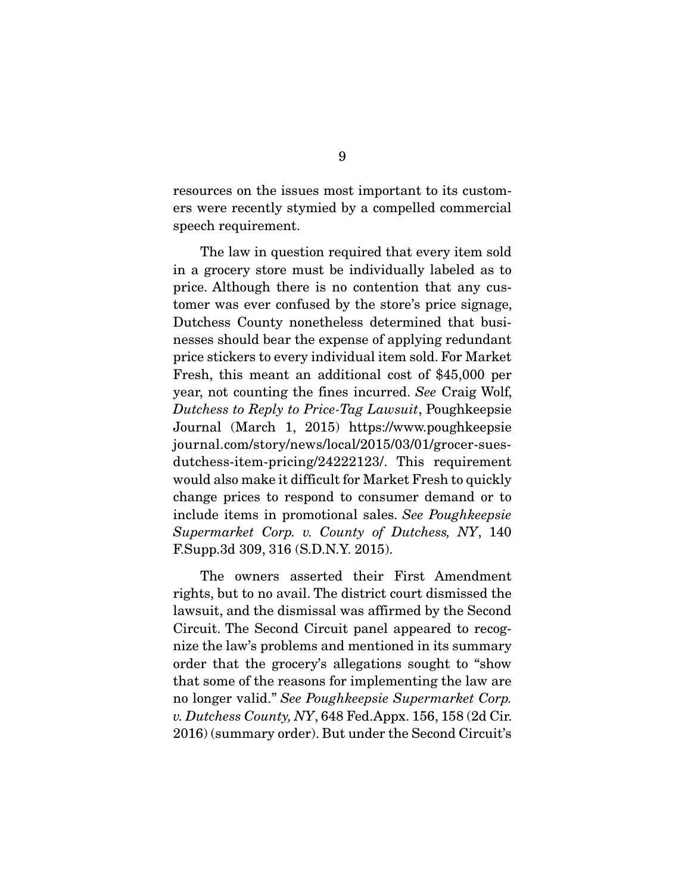resources on the issues most important to its customers were recently stymied by a compelled commercial speech requirement.

 The law in question required that every item sold in a grocery store must be individually labeled as to price. Although there is no contention that any customer was ever confused by the store's price signage, Dutchess County nonetheless determined that businesses should bear the expense of applying redundant price stickers to every individual item sold. For Market Fresh, this meant an additional cost of \$45,000 per year, not counting the fines incurred. *See* Craig Wolf, *Dutchess to Reply to Price-Tag Lawsuit*, Poughkeepsie Journal (March 1, 2015) https://www.poughkeepsie journal.com/story/news/local/2015/03/01/grocer-suesdutchess-item-pricing/24222123/. This requirement would also make it difficult for Market Fresh to quickly change prices to respond to consumer demand or to include items in promotional sales. *See Poughkeepsie Supermarket Corp. v. County of Dutchess, NY*, 140 F.Supp.3d 309, 316 (S.D.N.Y. 2015).

 The owners asserted their First Amendment rights, but to no avail. The district court dismissed the lawsuit, and the dismissal was affirmed by the Second Circuit. The Second Circuit panel appeared to recognize the law's problems and mentioned in its summary order that the grocery's allegations sought to "show that some of the reasons for implementing the law are no longer valid." *See Poughkeepsie Supermarket Corp. v. Dutchess County, NY*, 648 Fed.Appx. 156, 158 (2d Cir. 2016) (summary order). But under the Second Circuit's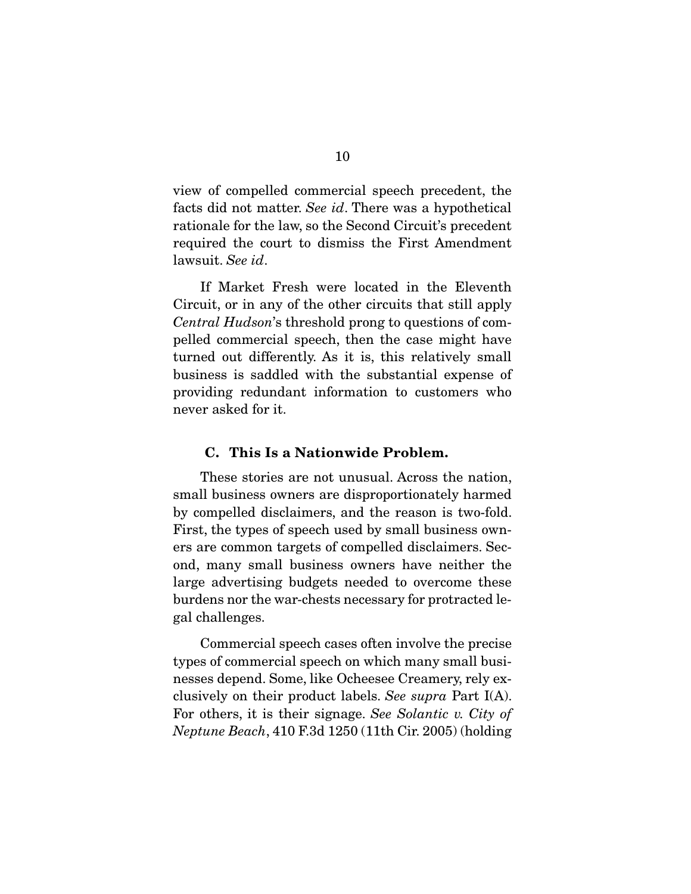view of compelled commercial speech precedent, the facts did not matter. *See id*. There was a hypothetical rationale for the law, so the Second Circuit's precedent required the court to dismiss the First Amendment lawsuit. *See id*.

 If Market Fresh were located in the Eleventh Circuit, or in any of the other circuits that still apply *Central Hudson*'s threshold prong to questions of compelled commercial speech, then the case might have turned out differently. As it is, this relatively small business is saddled with the substantial expense of providing redundant information to customers who never asked for it.

#### C. This Is a Nationwide Problem.

 These stories are not unusual. Across the nation, small business owners are disproportionately harmed by compelled disclaimers, and the reason is two-fold. First, the types of speech used by small business owners are common targets of compelled disclaimers. Second, many small business owners have neither the large advertising budgets needed to overcome these burdens nor the war-chests necessary for protracted legal challenges.

 Commercial speech cases often involve the precise types of commercial speech on which many small businesses depend. Some, like Ocheesee Creamery, rely exclusively on their product labels. *See supra* Part I(A). For others, it is their signage. *See Solantic v. City of Neptune Beach*, 410 F.3d 1250 (11th Cir. 2005) (holding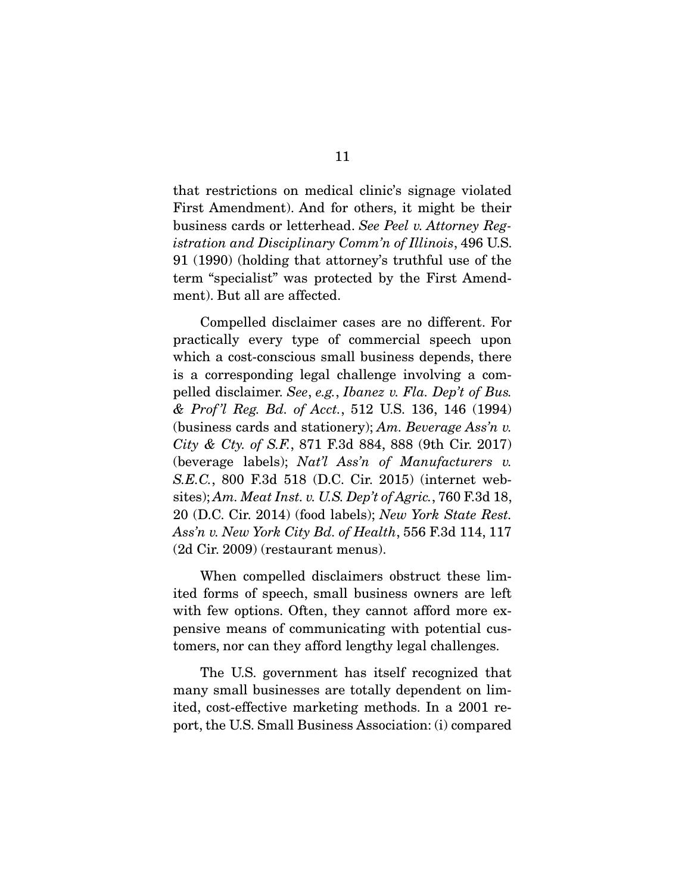that restrictions on medical clinic's signage violated First Amendment). And for others, it might be their business cards or letterhead. *See Peel v. Attorney Registration and Disciplinary Comm'n of Illinois*, 496 U.S. 91 (1990) (holding that attorney's truthful use of the term "specialist" was protected by the First Amendment). But all are affected.

 Compelled disclaimer cases are no different. For practically every type of commercial speech upon which a cost-conscious small business depends, there is a corresponding legal challenge involving a compelled disclaimer. *See*, *e.g.*, *Ibanez v. Fla. Dep't of Bus. & Prof 'l Reg. Bd. of Acct.*, 512 U.S. 136, 146 (1994) (business cards and stationery); *Am. Beverage Ass'n v. City & Cty. of S.F.*, 871 F.3d 884, 888 (9th Cir. 2017) (beverage labels); *Nat'l Ass'n of Manufacturers v. S.E.C.*, 800 F.3d 518 (D.C. Cir. 2015) (internet websites); *Am. Meat Inst. v. U.S. Dep't of Agric.*, 760 F.3d 18, 20 (D.C. Cir. 2014) (food labels); *New York State Rest. Ass'n v. New York City Bd. of Health*, 556 F.3d 114, 117 (2d Cir. 2009) (restaurant menus).

 When compelled disclaimers obstruct these limited forms of speech, small business owners are left with few options. Often, they cannot afford more expensive means of communicating with potential customers, nor can they afford lengthy legal challenges.

 The U.S. government has itself recognized that many small businesses are totally dependent on limited, cost-effective marketing methods. In a 2001 report, the U.S. Small Business Association: (i) compared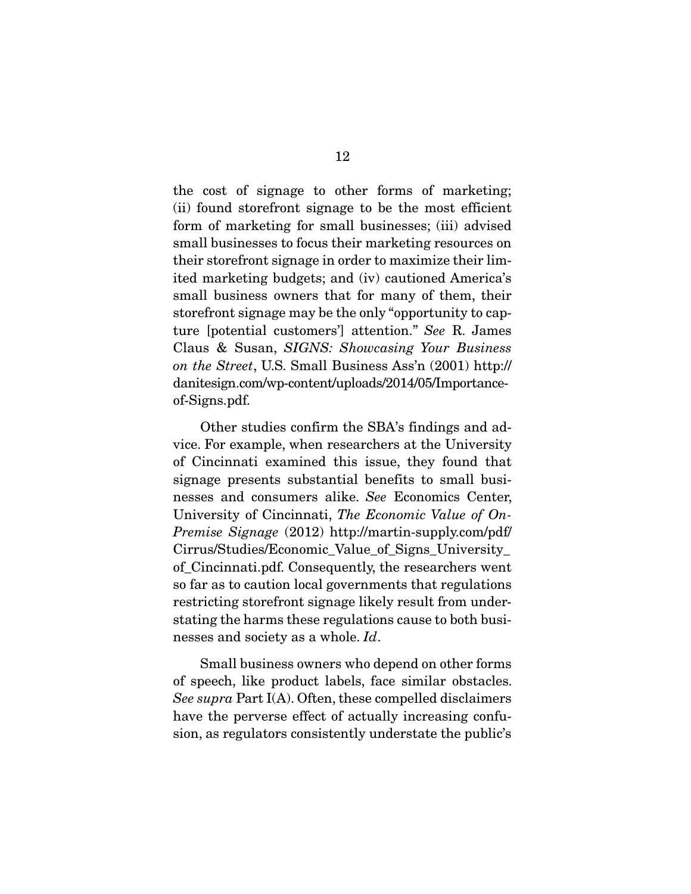the cost of signage to other forms of marketing; (ii) found storefront signage to be the most efficient form of marketing for small businesses; (iii) advised small businesses to focus their marketing resources on their storefront signage in order to maximize their limited marketing budgets; and (iv) cautioned America's small business owners that for many of them, their storefront signage may be the only "opportunity to capture [potential customers'] attention." *See* R. James Claus & Susan, *SIGNS: Showcasing Your Business on the Street*, U.S. Small Business Ass'n (2001) http:// danitesign.com/wp-content/uploads/2014/05/Importanceof-Signs.pdf.

 Other studies confirm the SBA's findings and advice. For example, when researchers at the University of Cincinnati examined this issue, they found that signage presents substantial benefits to small businesses and consumers alike. *See* Economics Center, University of Cincinnati, *The Economic Value of On-Premise Signage* (2012) http://martin-supply.com/pdf/ Cirrus/Studies/Economic\_Value\_of\_Signs\_University\_ of\_Cincinnati.pdf. Consequently, the researchers went so far as to caution local governments that regulations restricting storefront signage likely result from understating the harms these regulations cause to both businesses and society as a whole. *Id*.

 Small business owners who depend on other forms of speech, like product labels, face similar obstacles. *See supra* Part I(A). Often, these compelled disclaimers have the perverse effect of actually increasing confusion, as regulators consistently understate the public's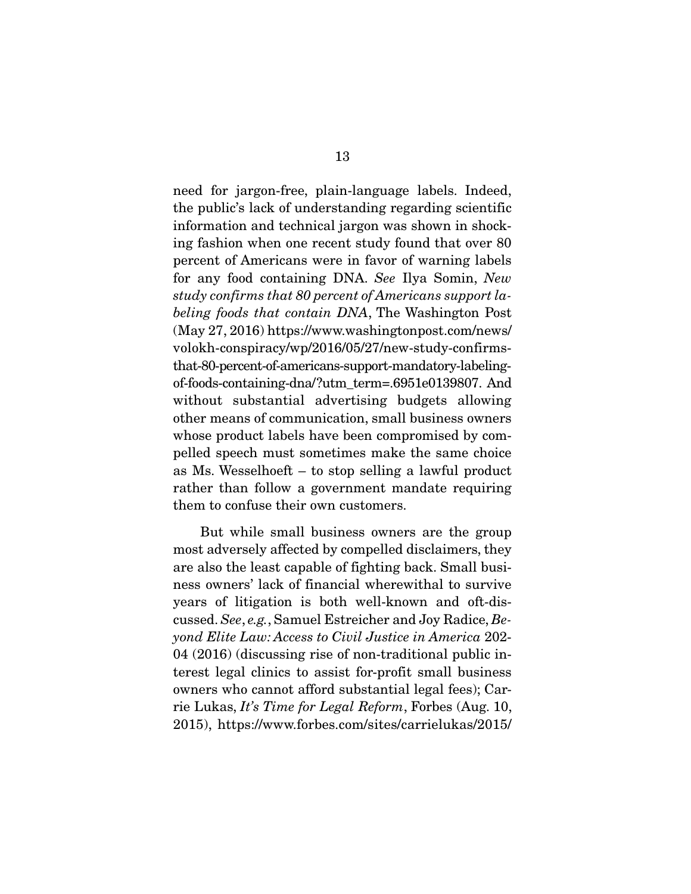need for jargon-free, plain-language labels. Indeed, the public's lack of understanding regarding scientific information and technical jargon was shown in shocking fashion when one recent study found that over 80 percent of Americans were in favor of warning labels for any food containing DNA. *See* Ilya Somin, *New study confirms that 80 percent of Americans support labeling foods that contain DNA*, The Washington Post (May 27, 2016) https://www.washingtonpost.com/news/ volokh-conspiracy/wp/2016/05/27/new-study-confirmsthat-80-percent-of-americans-support-mandatory-labelingof-foods-containing-dna/?utm\_term=.6951e0139807. And without substantial advertising budgets allowing other means of communication, small business owners whose product labels have been compromised by compelled speech must sometimes make the same choice as Ms. Wesselhoeft – to stop selling a lawful product rather than follow a government mandate requiring them to confuse their own customers.

 But while small business owners are the group most adversely affected by compelled disclaimers, they are also the least capable of fighting back. Small business owners' lack of financial wherewithal to survive years of litigation is both well-known and oft-discussed. *See*, *e.g.*, Samuel Estreicher and Joy Radice, *Beyond Elite Law: Access to Civil Justice in America* 202- 04 (2016) (discussing rise of non-traditional public interest legal clinics to assist for-profit small business owners who cannot afford substantial legal fees); Carrie Lukas, *It's Time for Legal Reform*, Forbes (Aug. 10, 2015), https://www.forbes.com/sites/carrielukas/2015/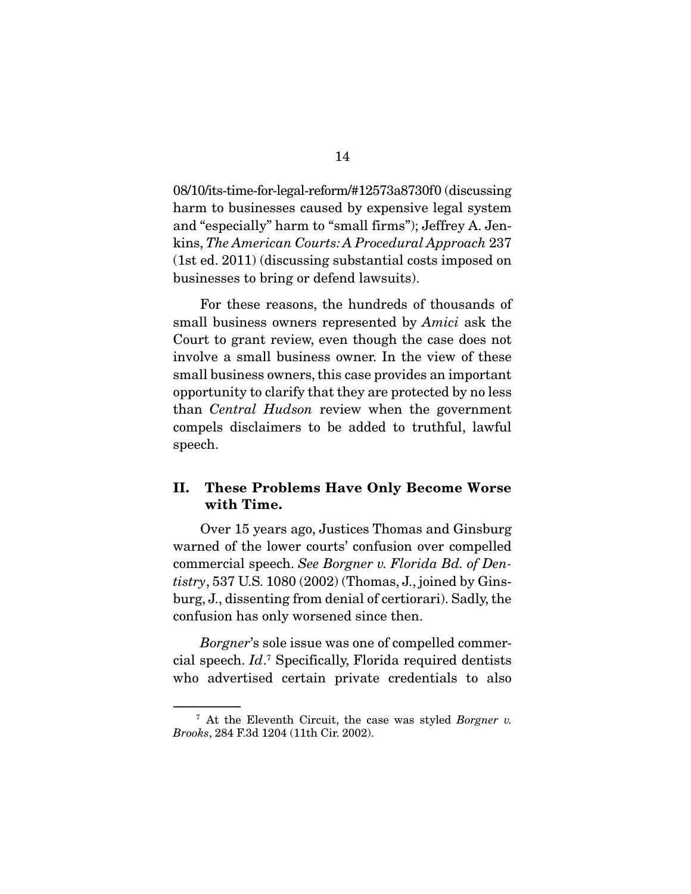08/10/its-time-for-legal-reform/#12573a8730f0 (discussing harm to businesses caused by expensive legal system and "especially" harm to "small firms"); Jeffrey A. Jenkins, *The American Courts: A Procedural Approach* 237 (1st ed. 2011) (discussing substantial costs imposed on businesses to bring or defend lawsuits).

 For these reasons, the hundreds of thousands of small business owners represented by *Amici* ask the Court to grant review, even though the case does not involve a small business owner. In the view of these small business owners, this case provides an important opportunity to clarify that they are protected by no less than *Central Hudson* review when the government compels disclaimers to be added to truthful, lawful speech.

### II. These Problems Have Only Become Worse with Time.

 Over 15 years ago, Justices Thomas and Ginsburg warned of the lower courts' confusion over compelled commercial speech. *See Borgner v. Florida Bd. of Dentistry*, 537 U.S. 1080 (2002) (Thomas, J., joined by Ginsburg, J., dissenting from denial of certiorari). Sadly, the confusion has only worsened since then.

*Borgner*'s sole issue was one of compelled commercial speech. *Id*. 7 Specifically, Florida required dentists who advertised certain private credentials to also

<sup>7</sup> At the Eleventh Circuit, the case was styled *Borgner v. Brooks*, 284 F.3d 1204 (11th Cir. 2002).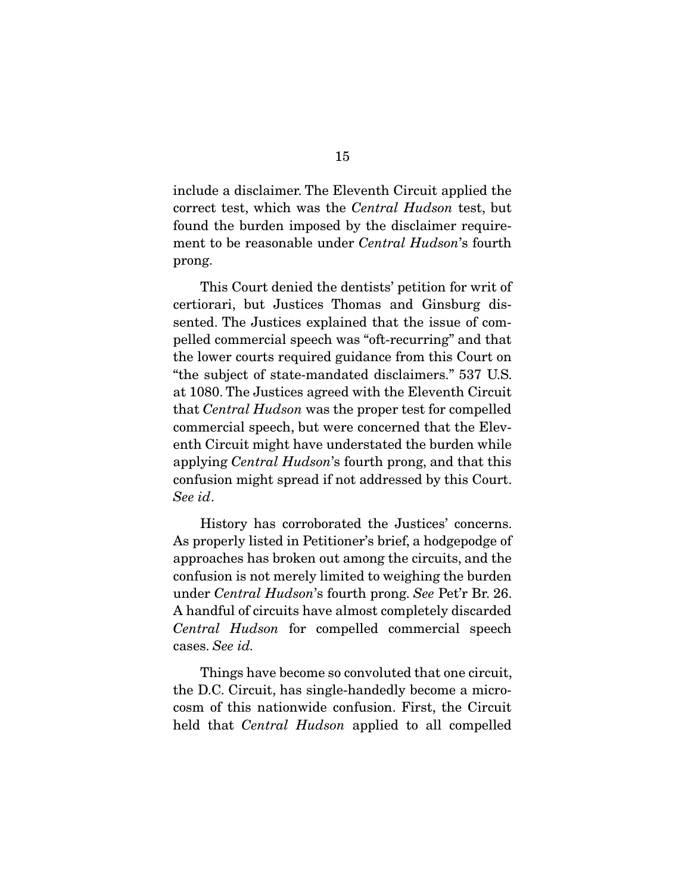include a disclaimer. The Eleventh Circuit applied the correct test, which was the *Central Hudson* test, but found the burden imposed by the disclaimer requirement to be reasonable under *Central Hudson*'s fourth prong.

 This Court denied the dentists' petition for writ of certiorari, but Justices Thomas and Ginsburg dissented. The Justices explained that the issue of compelled commercial speech was "oft-recurring" and that the lower courts required guidance from this Court on "the subject of state-mandated disclaimers." 537 U.S. at 1080. The Justices agreed with the Eleventh Circuit that *Central Hudson* was the proper test for compelled commercial speech, but were concerned that the Eleventh Circuit might have understated the burden while applying *Central Hudson*'s fourth prong, and that this confusion might spread if not addressed by this Court. *See id*.

 History has corroborated the Justices' concerns. As properly listed in Petitioner's brief, a hodgepodge of approaches has broken out among the circuits, and the confusion is not merely limited to weighing the burden under *Central Hudson*'s fourth prong. *See* Pet'r Br. 26. A handful of circuits have almost completely discarded *Central Hudson* for compelled commercial speech cases. *See id.*

 Things have become so convoluted that one circuit, the D.C. Circuit, has single-handedly become a microcosm of this nationwide confusion. First, the Circuit held that *Central Hudson* applied to all compelled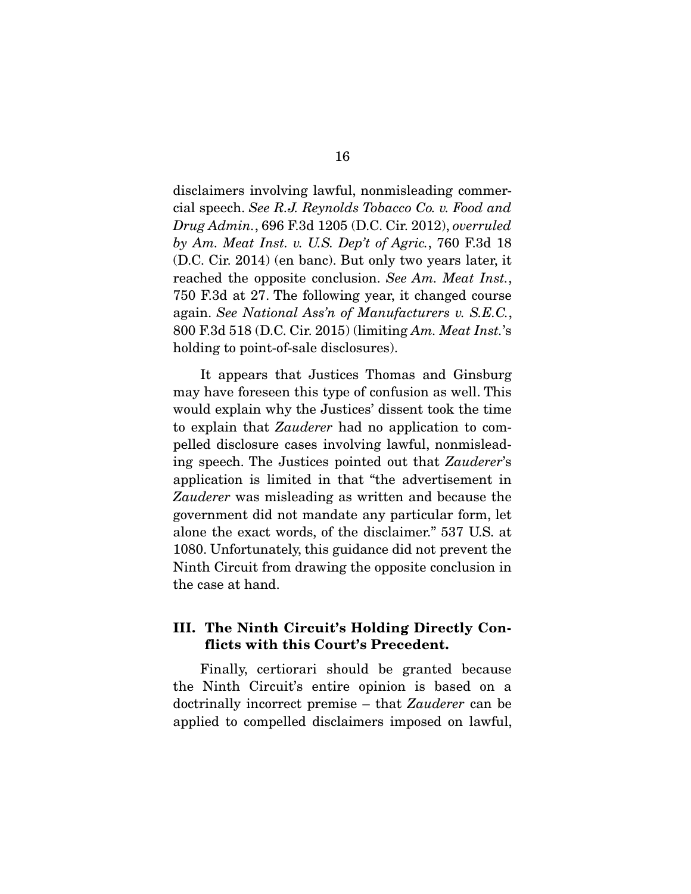disclaimers involving lawful, nonmisleading commercial speech. *See R.J. Reynolds Tobacco Co. v. Food and Drug Admin.*, 696 F.3d 1205 (D.C. Cir. 2012), *overruled by Am. Meat Inst. v. U.S. Dep't of Agric.*, 760 F.3d 18 (D.C. Cir. 2014) (en banc). But only two years later, it reached the opposite conclusion. *See Am. Meat Inst.*, 750 F.3d at 27. The following year, it changed course again. *See National Ass'n of Manufacturers v. S.E.C.*, 800 F.3d 518 (D.C. Cir. 2015) (limiting *Am. Meat Inst.*'s holding to point-of-sale disclosures).

 It appears that Justices Thomas and Ginsburg may have foreseen this type of confusion as well. This would explain why the Justices' dissent took the time to explain that *Zauderer* had no application to compelled disclosure cases involving lawful, nonmisleading speech. The Justices pointed out that *Zauderer*'s application is limited in that "the advertisement in *Zauderer* was misleading as written and because the government did not mandate any particular form, let alone the exact words, of the disclaimer." 537 U.S. at 1080. Unfortunately, this guidance did not prevent the Ninth Circuit from drawing the opposite conclusion in the case at hand.

### III. The Ninth Circuit's Holding Directly Conflicts with this Court's Precedent.

 Finally, certiorari should be granted because the Ninth Circuit's entire opinion is based on a doctrinally incorrect premise – that *Zauderer* can be applied to compelled disclaimers imposed on lawful,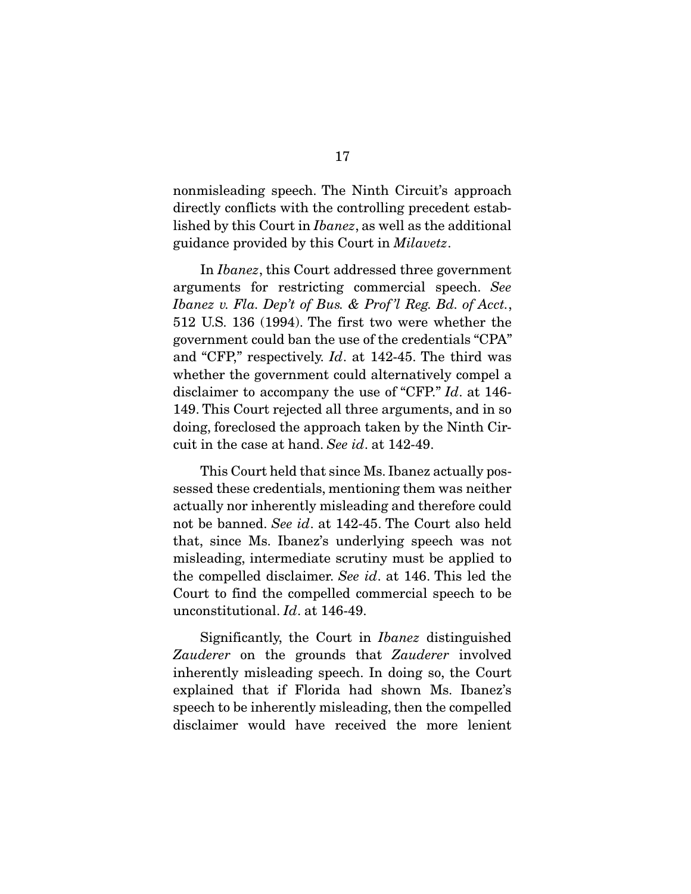nonmisleading speech. The Ninth Circuit's approach directly conflicts with the controlling precedent established by this Court in *Ibanez*, as well as the additional guidance provided by this Court in *Milavetz*.

 In *Ibanez*, this Court addressed three government arguments for restricting commercial speech. *See Ibanez v. Fla. Dep't of Bus. & Prof 'l Reg. Bd. of Acct.*, 512 U.S. 136 (1994). The first two were whether the government could ban the use of the credentials "CPA" and "CFP," respectively. *Id*. at 142-45. The third was whether the government could alternatively compel a disclaimer to accompany the use of "CFP." *Id*. at 146- 149. This Court rejected all three arguments, and in so doing, foreclosed the approach taken by the Ninth Circuit in the case at hand. *See id*. at 142-49.

 This Court held that since Ms. Ibanez actually possessed these credentials, mentioning them was neither actually nor inherently misleading and therefore could not be banned. *See id*. at 142-45. The Court also held that, since Ms. Ibanez's underlying speech was not misleading, intermediate scrutiny must be applied to the compelled disclaimer. *See id*. at 146. This led the Court to find the compelled commercial speech to be unconstitutional. *Id*. at 146-49.

 Significantly, the Court in *Ibanez* distinguished *Zauderer* on the grounds that *Zauderer* involved inherently misleading speech. In doing so, the Court explained that if Florida had shown Ms. Ibanez's speech to be inherently misleading, then the compelled disclaimer would have received the more lenient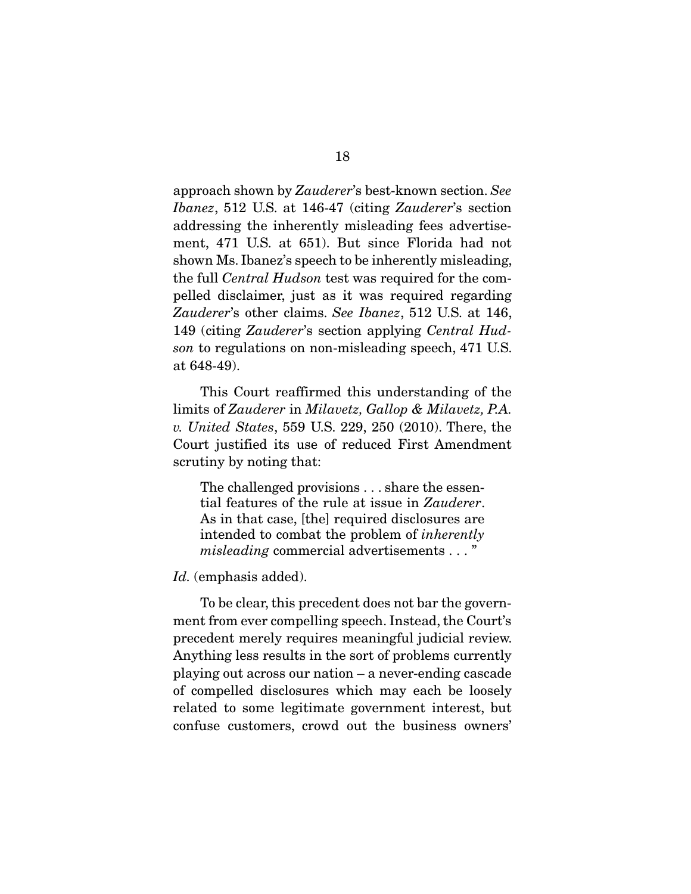approach shown by *Zauderer*'s best-known section. *See Ibanez*, 512 U.S. at 146-47 (citing *Zauderer*'s section addressing the inherently misleading fees advertisement, 471 U.S. at 651). But since Florida had not shown Ms. Ibanez's speech to be inherently misleading, the full *Central Hudson* test was required for the compelled disclaimer, just as it was required regarding *Zauderer*'s other claims. *See Ibanez*, 512 U.S. at 146, 149 (citing *Zauderer*'s section applying *Central Hudson* to regulations on non-misleading speech, 471 U.S. at 648-49).

 This Court reaffirmed this understanding of the limits of *Zauderer* in *Milavetz, Gallop & Milavetz, P.A. v. United States*, 559 U.S. 229, 250 (2010). There, the Court justified its use of reduced First Amendment scrutiny by noting that:

The challenged provisions . . . share the essential features of the rule at issue in *Zauderer*. As in that case, [the] required disclosures are intended to combat the problem of *inherently misleading* commercial advertisements . . . "

#### Id. (emphasis added).

 To be clear, this precedent does not bar the government from ever compelling speech. Instead, the Court's precedent merely requires meaningful judicial review. Anything less results in the sort of problems currently playing out across our nation – a never-ending cascade of compelled disclosures which may each be loosely related to some legitimate government interest, but confuse customers, crowd out the business owners'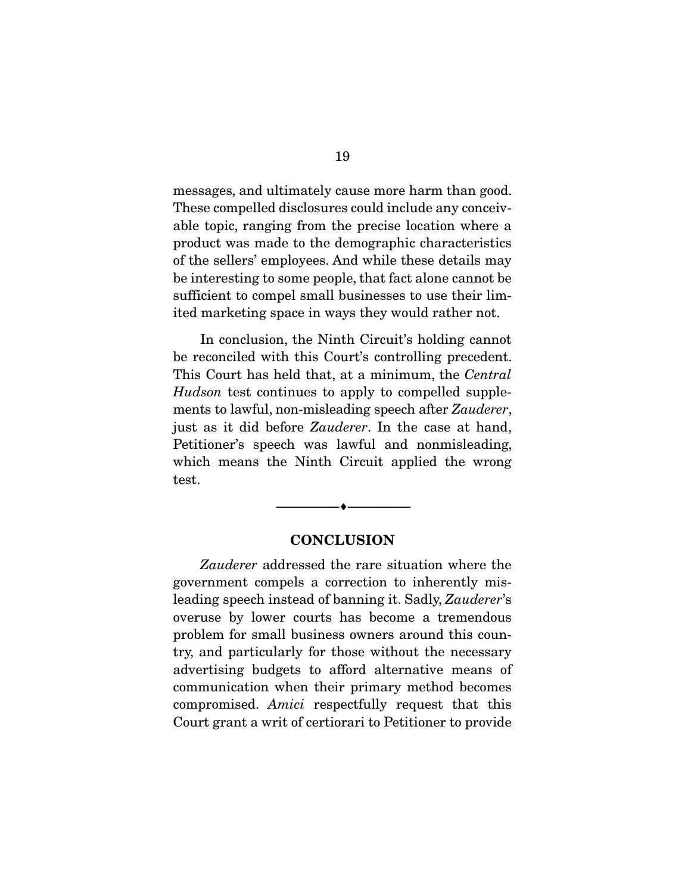messages, and ultimately cause more harm than good. These compelled disclosures could include any conceivable topic, ranging from the precise location where a product was made to the demographic characteristics of the sellers' employees. And while these details may be interesting to some people, that fact alone cannot be sufficient to compel small businesses to use their limited marketing space in ways they would rather not.

 In conclusion, the Ninth Circuit's holding cannot be reconciled with this Court's controlling precedent. This Court has held that, at a minimum, the *Central Hudson* test continues to apply to compelled supplements to lawful, non-misleading speech after *Zauderer*, just as it did before *Zauderer*. In the case at hand, Petitioner's speech was lawful and nonmisleading, which means the Ninth Circuit applied the wrong test.

#### **CONCLUSION**

--------------------------------- ---------------------------------

*Zauderer* addressed the rare situation where the government compels a correction to inherently misleading speech instead of banning it. Sadly, *Zauderer*'s overuse by lower courts has become a tremendous problem for small business owners around this country, and particularly for those without the necessary advertising budgets to afford alternative means of communication when their primary method becomes compromised. *Amici* respectfully request that this Court grant a writ of certiorari to Petitioner to provide